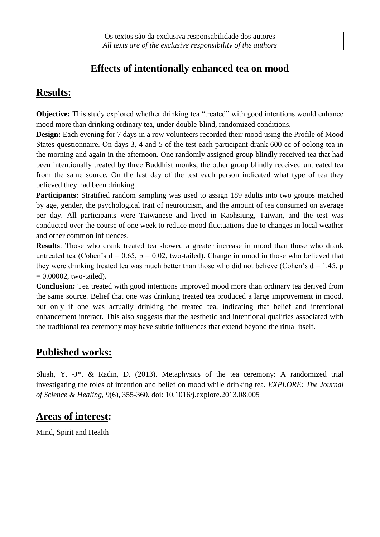## **Effects of intentionally enhanced tea on mood**

## **Results:**

**Objective:** This study explored whether drinking tea "treated" with good intentions would enhance mood more than drinking ordinary tea, under double-blind, randomized conditions.

**Design:** Each evening for 7 days in a row volunteers recorded their mood using the Profile of Mood States questionnaire. On days 3, 4 and 5 of the test each participant drank 600 cc of oolong tea in the morning and again in the afternoon. One randomly assigned group blindly received tea that had been intentionally treated by three Buddhist monks; the other group blindly received untreated tea from the same source. On the last day of the test each person indicated what type of tea they believed they had been drinking.

**Participants:** Stratified random sampling was used to assign 189 adults into two groups matched by age, gender, the psychological trait of neuroticism, and the amount of tea consumed on average per day. All participants were Taiwanese and lived in Kaohsiung, Taiwan, and the test was conducted over the course of one week to reduce mood fluctuations due to changes in local weather and other common influences.

**Results**: Those who drank treated tea showed a greater increase in mood than those who drank untreated tea (Cohen's  $d = 0.65$ ,  $p = 0.02$ , two-tailed). Change in mood in those who believed that they were drinking treated tea was much better than those who did not believe (Cohen's  $d = 1.45$ , p  $= 0.00002$ , two-tailed).

**Conclusion:** Tea treated with good intentions improved mood more than ordinary tea derived from the same source. Belief that one was drinking treated tea produced a large improvement in mood, but only if one was actually drinking the treated tea, indicating that belief and intentional enhancement interact. This also suggests that the aesthetic and intentional qualities associated with the traditional tea ceremony may have subtle influences that extend beyond the ritual itself.

#### **Published works:**

Shiah, Y. -J\*. & Radin, D. (2013). Metaphysics of the tea ceremony: A randomized trial investigating the roles of intention and belief on mood while drinking tea. *EXPLORE: The Journal of Science & Healing, 9*(6)*,* 355-360*.* doi: 10.1016/j.explore.2013.08.005

## **Areas of interest:**

Mind, Spirit and Health